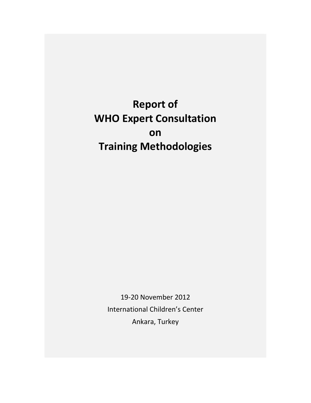**Report of WHO Expert Consultation on Training Methodologies**

> 19‐20 November 2012 International Children's Center Ankara, Turkey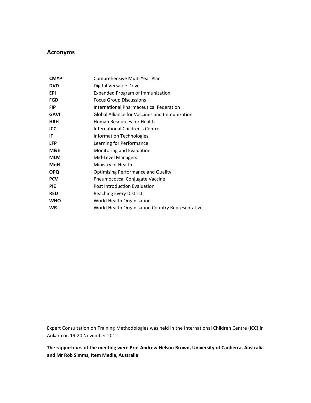## **Acronyms**

| <b>CMYP</b> | Comprehensive Multi Year Plan                    |
|-------------|--------------------------------------------------|
| <b>DVD</b>  | Digital Versatile Drive                          |
| EPI         | Expanded Program of Immunization                 |
| <b>FGD</b>  | <b>Focus Group Discussions</b>                   |
| <b>FIP</b>  | International Pharmaceutical Federation          |
| <b>GAVI</b> | Global Alliance for Vaccines and Immunization    |
| <b>HRH</b>  | Human Resources for Health                       |
| ICC         | International Children's Centre                  |
| IΤ          | Information Technologies                         |
| <b>LFP</b>  | Learning for Performance                         |
| M&E         | Monitoring and Evaluation                        |
| <b>MLM</b>  | Mid-Level Managers                               |
| <b>MoH</b>  | Ministry of Health                               |
| <b>OPQ</b>  | <b>Optimising Performance and Quality</b>        |
| <b>PCV</b>  | Pneumococcal Conjugate Vaccine                   |
| <b>PIE</b>  | Post Introduction Evaluation                     |
| <b>RED</b>  | <b>Reaching Every District</b>                   |
| <b>WHO</b>  | World Health Organisation                        |
| <b>WR</b>   | World Health Organisation Country Representative |

Expert Consultation on Training Methodologies was held in the International Children Centre (ICC) in Ankara on 19‐20 November 2012.

## **The rapporteurs of the meeting were Prof Andrew Nelson Brown, University of Canberra, Australia and Mr Rob Simms, Item Media, Australia**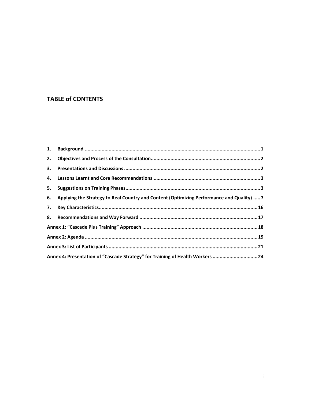# **TABLE of CONTENTS**

| 2. |                                                                                              |  |
|----|----------------------------------------------------------------------------------------------|--|
|    |                                                                                              |  |
|    |                                                                                              |  |
|    |                                                                                              |  |
|    | 6. Applying the Strategy to Real Country and Content (Optimizing Performance and Quality)  7 |  |
|    |                                                                                              |  |
|    |                                                                                              |  |
|    |                                                                                              |  |
|    |                                                                                              |  |
|    |                                                                                              |  |
|    | Annex 4: Presentation of "Cascade Strategy" for Training of Health Workers  24               |  |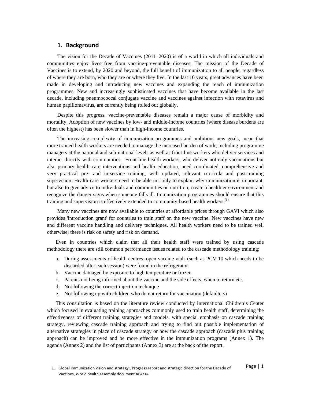### **1. Background**

The vision for the Decade of Vaccines (2011–2020) is of a world in which all individuals and communities enjoy lives free from vaccine-preventable diseases. The mission of the Decade of Vaccines is to extend, by 2020 and beyond, the full benefit of immunization to all people, regardless of where they are born, who they are or where they live. In the last 10 years, great advances have been made in developing and introducing new vaccines and expanding the reach of immunization programmes. New and increasingly sophisticated vaccines that have become available in the last decade, including pneumococcal conjugate vaccine and vaccines against infection with rotavirus and human papillomavirus, are currently being rolled out globally.

Despite this progress, vaccine-preventable diseases remain a major cause of morbidity and mortality. Adoption of new vaccines by low- and middle-income countries (where disease burdens are often the highest) has been slower than in high-income countries.

The increasing complexity of immunization programmes and ambitious new goals, mean that more trained health workers are needed to manage the increased burden of work, including programme managers at the national and sub-national levels as well as front-line workers who deliver services and interact directly with communities. Front-line health workers, who deliver not only vaccinations but also primary health care interventions and health education, need coordinated, comprehensive and very practical pre- and in-service training, with updated, relevant curricula and post-training supervision. Health-care workers need to be able not only to explain why immunization is important, but also to give advice to individuals and communities on nutrition, create a healthier environment and recognize the danger signs when someone falls ill. Immunization programmes should ensure that this training and supervision is effectively extended to community-based health workers.<sup>(1)</sup>

Many new vaccines are now available to countries at affordable prices through GAVI which also provides 'introduction grant' for countries to train staff on the new vaccine. New vaccines have new and different vaccine handling and delivery techniques. All health workers need to be trained well otherwise; there is risk on safety and risk on demand.

Even in countries which claim that all their health staff were trained by using cascade methodology there are still common performance issues related to the cascade methodology training;

- a. During assessments of health centres, open vaccine vials (such as PCV 10 which needs to be discarded after each session) were found in the refrigerator
- b. Vaccine damaged by exposure to high temperature or frozen
- c. Parents not being informed about the vaccine and the side effects, when to return etc.
- d. Not following the correct injection technique
- e. Not following up with children who do not return for vaccination (defaulters)

This consultation is based on the literature review conducted by International Children's Center which focused in evaluating training approaches commonly used to train health staff, determining the effectiveness of different training strategies and models, with special emphasis on cascade training strategy, reviewing cascade training approach and trying to find out possible implementation of alternative strategies in place of cascade strategy or how the cascade approach (cascade plus training approach) can be improved and be more effective in the immunization programs (Annex 1). The agenda (Annex 2) and the list of participants (Annex 3) are at the back of the report.

Page | 1 1. Global immunization vision and strategy:, Progress report and strategic direction for the Decade of Vaccines, World health assembly document A64/14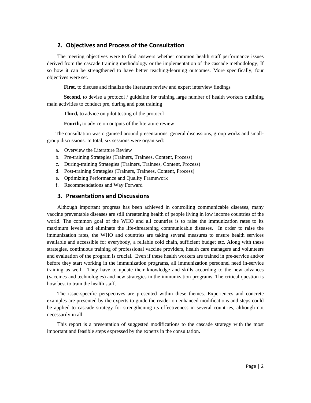## **2. Objectives and Process of the Consultation**

The meeting objectives were to find answers whether common health staff performance issues derived from the cascade training methodology or the implementation of the cascade methodology; If so how it can be strengthened to have better teaching-learning outcomes. More specifically, four objectives were set.

**First,** to discuss and finalize the literature review and expert interview findings

**Second,** to devise a protocol / guideline for training large number of health workers outlining main activities to conduct pre, during and post training

**Third,** to advice on pilot testing of the protocol

**Fourth,** to advice on outputs of the literature review

The consultation was organised around presentations, general discussions, group works and smallgroup discussions. In total, six sessions were organised:

- a. Overview the Literature Review
- b. Pre-training Strategies (Trainers, Trainees, Content, Process)
- c. During-training Strategies (Trainers, Trainees, Content, Process)
- d. Post-training Strategies (Trainers, Trainees, Content, Process)
- e. Optimizing Performance and Quality Framework
- f. Recommendations and Way Forward

### **3. Presentations and Discussions**

Although important progress has been achieved in controlling communicable diseases, many vaccine preventable diseases are still threatening health of people living in low income countries of the world. The common goal of the WHO and all countries is to raise the immunization rates to its maximum levels and eliminate the life-threatening communicable diseases. In order to raise the immunization rates, the WHO and countries are taking several measures to ensure health services available and accessible for everybody, a reliable cold chain, sufficient budget etc. Along with these strategies, continuous training of professional vaccine providers, health care managers and volunteers and evaluation of the program is crucial. Even if these health workers are trained in pre-service and/or before they start working in the immunization programs, all immunization personnel need in-service training as well. They have to update their knowledge and skills according to the new advances (vaccines and technologies) and new strategies in the immunization programs. The critical question is how best to train the health staff.

The issue-specific perspectives are presented within these themes. Experiences and concrete examples are presented by the experts to guide the reader on enhanced modifications and steps could be applied to cascade strategy for strengthening its effectiveness in several countries, although not necessarily in all.

This report is a presentation of suggested modifications to the cascade strategy with the most important and feasible steps expressed by the experts in the consultation.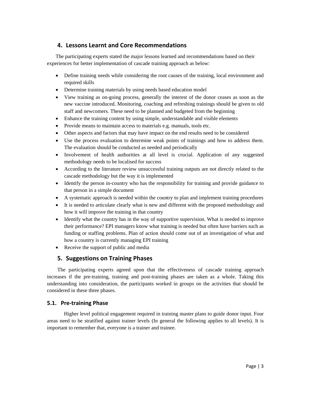## **4. Lessons Learnt and Core Recommendations**

The participating experts stated the major lessons learned and recommendations based on their experiences for better implementation of cascade training approach as below:

- Define training needs while considering the root causes of the training, local environment and required skills
- Determine training materials by using needs based education model
- View training as on-going process, generally the interest of the donor ceases as soon as the new vaccine introduced. Monitoring, coaching and refreshing trainings should be given to old staff and newcomers. These need to be planned and budgeted from the beginning
- Enhance the training content by using simple, understandable and visible elements
- Provide means to maintain access to materials e.g. manuals, tools etc.
- Other aspects and factors that may have impact on the end results need to be considered
- Use the process evaluation to determine weak points of trainings and how to address them. The evaluation should be conducted as needed and periodically
- Involvement of health authorities at all level is crucial. Application of any suggested methodology needs to be localised for success
- According to the literature review unsuccessful training outputs are not directly related to the cascade methodology but the way it is implemented
- Identify the person in-country who has the responsibility for training and provide guidance to that person in a simple document
- A systematic approach is needed within the country to plan and implement training procedures
- It is needed to articulate clearly what is new and different with the proposed methodology and how it will improve the training in that country
- Identify what the country has in the way of supportive supervision. What is needed to improve their performance? EPI managers know what training is needed but often have barriers such as funding or staffing problems. Plan of action should come out of an investigation of what and how a country is currently managing EPI training
- Receive the support of public and media

## **5. Suggestions on Training Phases**

The participating experts agreed upon that the effectiveness of cascade training approach increases if the pre-training, training and post-training phases are taken as a whole. Taking this understanding into consideration, the participants worked in groups on the activities that should be considered in these three phases.

### **5.1. Pre‐training Phase**

Higher level political engagement required in training master plans to guide donor input. Four areas need to be stratified against trainer levels (In general the following applies to all levels). It is important to remember that, everyone is a trainer and trainee.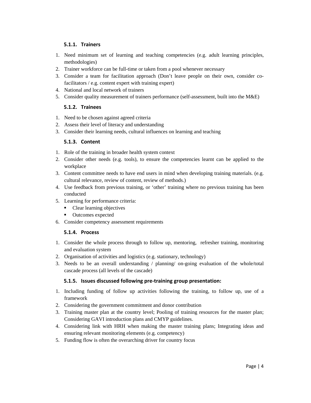## **5.1.1. Trainers**

- 1. Need minimum set of learning and teaching competencies (e.g. adult learning principles, methodologies)
- 2. Trainer workforce can be full-time or taken from a pool whenever necessary
- 3. Consider a team for facilitation approach (Don't leave people on their own, consider cofacilitators / e.g. content expert with training expert)
- 4. National and local network of trainers
- 5. Consider quality measurement of trainers performance (self-assessment, built into the M&E)

## **5.1.2. Trainees**

- 1. Need to be chosen against agreed criteria
- 2. Assess their level of literacy and understanding
- 3. Consider their learning needs, cultural influences on learning and teaching

## **5.1.3. Content**

- 1. Role of the training in broader health system context
- 2. Consider other needs (e.g. tools), to ensure the competencies learnt can be applied to the workplace
- 3. Content committee needs to have end users in mind when developing training materials. (e.g. cultural relevance, review of content, review of methods.)
- 4. Use feedback from previous training, or 'other' training where no previous training has been conducted
- 5. Learning for performance criteria:
	- Clear learning objectives
	- Outcomes expected
- 6. Consider competency assessment requirements

## **5.1.4. Process**

- 1. Consider the whole process through to follow up, mentoring, refresher training, monitoring and evaluation system
- 2. Organisation of activities and logistics (e.g. stationary, technology)
- 3. Needs to be an overall understanding / planning/ on-going evaluation of the whole/total cascade process (all levels of the cascade)

### **5.1.5. Issues discussed following pre‐training group presentation:**

- 1. Including funding of follow up activities following the training, to follow up, use of a framework
- 2. Considering the government commitment and donor contribution
- 3. Training master plan at the country level; Pooling of training resources for the master plan; Considering GAVI introduction plans and CMYP guidelines.
- 4. Considering link with HRH when making the master training plans; Integrating ideas and ensuring relevant monitoring elements (e.g. competency)
- 5. Funding flow is often the overarching driver for country focus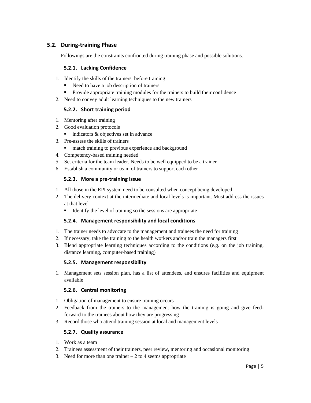## **5.2. During‐training Phase**

Followings are the constraints confronted during training phase and possible solutions.

### **5.2.1. Lacking Confidence**

- 1. Identify the skills of the trainers before training
	- Need to have a job description of trainers
	- **Provide appropriate training modules for the trainers to build their confidence**
- 2. Need to convey adult learning techniques to the new trainers

#### **5.2.2. Short training period**

- 1. Mentoring after training
- 2. Good evaluation protocols
	- $\blacksquare$  indicators & objectives set in advance
- 3. Pre-assess the skills of trainers
	- **n** match training to previous experience and background
- 4. Competency-based training needed
- 5. Set criteria for the team leader. Needs to be well equipped to be a trainer
- 6. Establish a community or team of trainers to support each other

#### **5.2.3. More a pre‐training issue**

- 1. All those in the EPI system need to be consulted when concept being developed
- 2. The delivery context at the intermediate and local levels is important. Must address the issues at that level
	- Identify the level of training so the sessions are appropriate

#### **5.2.4. Management responsibility and local conditions**

- 1. The trainer needs to advocate to the management and trainees the need for training
- 2. If necessary, take the training to the health workers and/or train the managers first
- 3. Blend appropriate learning techniques according to the conditions (e.g. on the job training, distance learning, computer-based training)

#### **5.2.5. Management responsibility**

1. Management sets session plan, has a list of attendees, and ensures facilities and equipment available

### **5.2.6. Central monitoring**

- 1. Obligation of management to ensure training occurs
- 2. Feedback from the trainers to the management how the training is going and give feedforward to the trainees about how they are progressing
- 3. Record those who attend training session at local and management levels

#### **5.2.7. Quality assurance**

- 1. Work as a team
- 2. Trainees assessment of their trainers, peer review, mentoring and occasional monitoring
- 3. Need for more than one trainer  $-2$  to 4 seems appropriate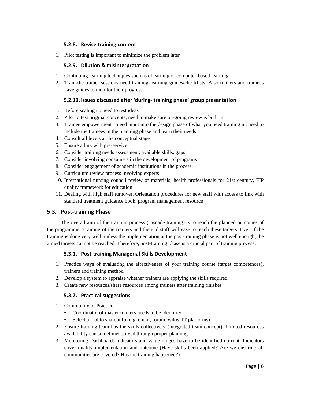### **5.2.8. Revise training content**

1. Pilot testing is important to minimize the problem later

### **5.2.9. Dilution & misinterpretation**

- 1. Continuing learning techniques such as eLearning or computer-based learning
- 2. Train-the-trainer sessions need training learning guides/checklists. Also trainers and trainees have guides to monitor their progress.

### **5.2.10. Issues discussed after 'during‐ training phase' group presentation**

- 1. Before scaling up need to test ideas
- 2. Pilot to test original concepts, need to make sure on-going review is built in
- 3. Trainee empowerment need input into the design phase of what you need training in, need to include the trainees in the planning phase and learn their needs
- 4. Consult all levels at the conceptual stage
- 5. Ensure a link with pre-service
- 6. Consider training needs assessment; available skills, gaps
- 7. Consider involving consumers in the development of programs
- 8. Consider engagement of academic institutions in the process
- 9. Curriculum review process involving experts
- 10. International nursing council review of materials, health professionals for 21st century, FIP quality framework for education
- 11. Dealing with high staff turnover. Orientation procedures for new staff with access to link with standard treatment guidance book, program management resource

### **5.3. Post‐training Phase**

The overall aim of the training process (cascade training) is to reach the planned outcomes of the programme. Training of the trainers and the end staff will ease to reach these targets. Even if the training is done very well, unless the implementation at the post-training phase is not well enough, the aimed targets cannot be reached. Therefore, post-training phase is a crucial part of training process.

#### **5.3.1. Post‐training Managerial Skills Development**

- 1. Practice ways of evaluating the effectiveness of your training course (target competences), trainers and training method
- 2. Develop a system to appraise whether trainers are applying the skills required
- 3. Create new resources/share resources among trainers after training finishes

### **5.3.2. Practical suggestions**

- 1. Community of Practice
	- Coordinator of master trainers needs to be identified
	- Select a tool to share info (e.g. email, forum, wikis, IT platforms)
- 2. Ensure training team has the skills collectively (integrated team concept). Limited resources availability can sometimes solved through proper planning
- 3. Monitoring Dashboard. Indicators and value ranges have to be identified upfront. Indicators cover quality implementation and outcome (Have skills been applied? Are we ensuring all communities are covered? Has the training happened?)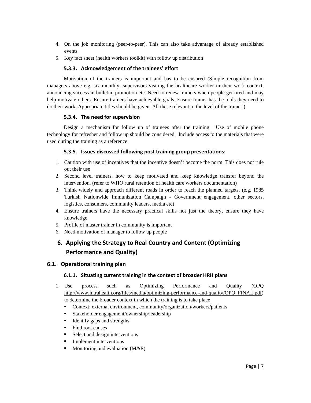- 4. On the job monitoring (peer-to-peer). This can also take advantage of already established events
- 5. Key fact sheet (health workers toolkit) with follow up distribution

### **5.3.3. Acknowledgement of the trainees' effort**

Motivation of the trainers is important and has to be ensured (Simple recognition from managers above e.g. six monthly, supervisors visiting the healthcare worker in their work context, announcing success in bulletin, promotion etc. Need to renew trainers when people get tired and may help motivate others. Ensure trainers have achievable goals. Ensure trainer has the tools they need to do their work. Appropriate titles should be given. All these relevant to the level of the trainer.)

### **5.3.4. The need for supervision**

Design a mechanism for follow up of trainees after the training. Use of mobile phone technology for refresher and follow up should be considered. Include access to the materials that were used during the training as a reference

### **5.3.5. Issues discussed following post training group presentations:**

- 1. Caution with use of incentives that the incentive doesn't become the norm. This does not rule out their use
- 2. Second level trainers, how to keep motivated and keep knowledge transfer beyond the intervention. (refer to WHO rural retention of health care workers documentation)
- 3. Think widely and approach different roads in order to reach the planned targets. (e.g. 1985 Turkish Nationwide Immunization Campaign - Government engagement, other sectors, logistics, consumers, community leaders, media etc)
- 4. Ensure trainers have the necessary practical skills not just the theory, ensure they have knowledge
- 5. Profile of master trainer in community is important
- 6. Need motivation of manager to follow up people

# **6. Applying the Strategy to Real Country and Content (Optimizing Performance and Quality)**

### **6.1. Operational training plan**

### **6.1.1. Situating current training in the context of broader HRH plans**

- 1. Use process such as Optimizing Performance and Quality (OPQ http://www.intrahealth.org/files/media/optimizing-performance-and-quality/OPQ\_FINAL.pdf) to determine the broader context in which the training is to take place
	- Context: external environment, community/organization/workers/patients
	- Stakeholder engagement/ownership/leadership
	- $\blacksquare$  Identify gaps and strengths
	- Find root causes
	- Select and design interventions
	- **Implement interventions**
	- $\blacksquare$  Monitoring and evaluation (M&E)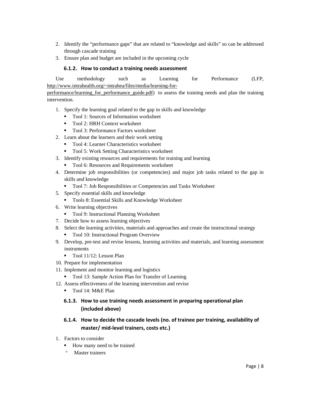- 2. Identify the "performance gaps" that are related to "knowledge and skills" so can be addressed through cascade training
- 3. Ensure plan and budget are included in the upcoming cycle

#### **6.1.2. How to conduct a training needs assessment**

Use methodology such as Learning for Performance (LFP, http://www.intrahealth.org/~intrahea/files/media/learning-for-

performance/learning\_for\_performance\_guide.pdf) to assess the training needs and plan the training intervention.

- 1. Specify the learning goal related to the gap in skills and knowledge
	- Tool 1: Sources of Information worksheet
	- Tool 2: HRH Context worksheet
	- Tool 3: Performance Factors worksheet
- 2. Learn about the learners and their work setting
	- Tool 4: Learner Characteristics worksheet
	- Tool 5: Work Setting Characteristics worksheet
- 3. Identify existing resources and requirements for training and learning
	- Tool 6: Resources and Requirements worksheet
- 4. Determine job responsibilities (or competencies) and major job tasks related to the gap in skills and knowledge
	- Tool 7: Job Responsibilities or Competencies and Tasks Worksheet
- 5. Specify essential skills and knowledge
	- Tools 8: Essential Skills and Knowledge Worksheet
- 6. Write learning objectives
	- Tool 9: Instructional Planning Worksheet
- 7. Decide how to assess learning objectives
- 8. Select the learning activities, materials and approaches and create the instructional strategy ■ Tool 10: Instructional Program Overview
- 9. Develop, pre-test and revise lessons, learning activities and materials, and learning assessment instruments
	- Tool 11/12: Lesson Plan
- 10. Prepare for implementation
- 11. Implement and monitor learning and logistics
	- Tool 13: Sample Action Plan for Transfer of Learning
- 12. Assess effectiveness of the learning intervention and revise
	- Tool 14: M&E Plan

## **6.1.3. How to use training needs assessment in preparing operational plan (included above)**

## **6.1.4. How to decide the cascade levels (no. of trainee per training, availability of master/ mid‐level trainers, costs etc.)**

- 1. Factors to consider
	- How many need to be trained
		- Master trainers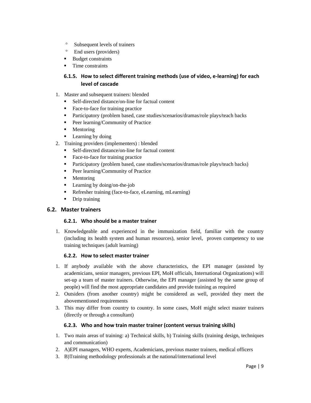- <sup>o</sup> Subsequent levels of trainers
- <sup>o</sup> End users (providers)
- Budget constraints
- **Time constraints**

## **6.1.5. How to select different training methods (use of video, e‐learning) for each level of cascade**

- 1. Master and subsequent trainers: blended
	- Self-directed distance/on-line for factual content
	- Face-to-face for training practice
	- Participatory (problem based, case studies/scenarios/dramas/role plays/teach backs
	- Peer learning/Community of Practice
	- **Mentoring**
	- **Learning by doing**
- 2. Training providers (implementers) : blended
	- Self-directed distance/on-line for factual content
	- Face-to-face for training practice
	- Participatory (problem based, case studies/scenarios/dramas/role plays/teach backs)
	- Peer learning/Community of Practice
	- **Mentoring**
	- **Learning by doing/on-the-job**
	- Refresher training (face-to-face, eLearning, mLearning)
	- Drip training

## **6.2. Master trainers**

### **6.2.1. Who should be a master trainer**

1. Knowledgeable and experienced in the immunization field, familiar with the country (including its health system and human resources), senior level, proven competency to use training techniques (adult learning)

### **6.2.2. How to select master trainer**

- 1. If anybody available with the above characteristics, the EPI manager (assisted by academicians, senior managers, previous EPI, MoH officials, International Organizations) will set-up a team of master trainers. Otherwise, the EPI manager (assisted by the same group of people) will find the most appropriate candidates and provide training as required
- 2. Outsiders (from another country) might be considered as well, provided they meet the abovementioned requirements
- 3. This may differ from country to country. In some cases, MoH might select master trainers (directly or through a consultant)

### **6.2.3. Who and how train master trainer (content versus training skills)**

- 1. Two main areas of training: a) Technical skills, b) Training skills (training design, techniques and communication)
- 2. A)EPI managers, WHO experts, Academicians, previous master trainers, medical officers
- 3. B)Training methodology professionals at the national/international level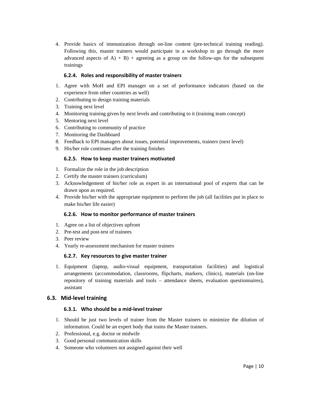4. Provide basics of immunization through on-line content (pre-technical training reading). Following this, master trainers would participate in a workshop to go through the more advanced aspects of  $A$ ) + B) + agreeing as a group on the follow-ups for the subsequent trainings

### **6.2.4. Roles and responsibility of master trainers**

- 1. Agree with MoH and EPI manager on a set of performance indicators (based on the experience from other countries as well)
- 2. Contributing to design training materials
- 3. Training next level
- 4. Monitoring training given by next levels and contributing to it (training team concept)
- 5. Mentoring next level
- 6. Contributing to community of practice
- 7. Monitoring the Dashboard
- 8. Feedback to EPI managers about issues, potential improvements, trainers (next level)
- 9. His/her role continues after the training finishes

#### **6.2.5. How to keep master trainers motivated**

- 1. Formalize the role in the job description
- 2. Certify the master trainers (curriculum)
- 3. Acknowledgement of his/her role as expert in an international pool of experts that can be drawn upon as required.
- 4. Provide his/her with the appropriate equipment to perform the job (all facilities put in place to make his/her life easier)

### **6.2.6. How to monitor performance of master trainers**

- 1. Agree on a list of objectives upfront
- 2. Pre-test and post-test of trainees
- 3. Peer review
- 4. Yearly re-assessment mechanism for master trainers

#### **6.2.7. Key resources to give master trainer**

1. Equipment (laptop, audio-visual equipment, transportation facilities) and logistical arrangements (accommodation, classrooms, flipcharts, markers, clinics), materials (on-line repository of training materials and tools – attendance sheets, evaluation questionnaires), assistant

### **6.3. Mid‐level training**

### **6.3.1. Who should be a mid‐level trainer**

- 1. Should be just two levels of trainer from the Master trainers to minimize the dilution of information. Could be an expert body that trains the Master trainers.
- 2. Professional, e.g. doctor or midwife
- 3. Good personal communication skills
- 4. Someone who volunteers not assigned against their well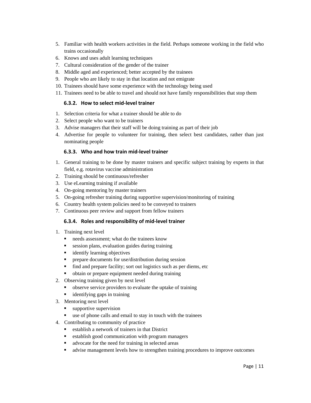- 5. Familiar with health workers activities in the field. Perhaps someone working in the field who trains occasionally
- 6. Knows and uses adult learning techniques
- 7. Cultural consideration of the gender of the trainer
- 8. Middle aged and experienced; better accepted by the trainees
- 9. People who are likely to stay in that location and not emigrate
- 10. Trainees should have some experience with the technology being used
- 11. Trainees need to be able to travel and should not have family responsibilities that stop them

#### **6.3.2. How to select mid‐level trainer**

- 1. Selection criteria for what a trainer should be able to do
- 2. Select people who want to be trainers
- 3. Advise managers that their staff will be doing training as part of their job
- 4. Advertise for people to volunteer for training, then select best candidates, rather than just nominating people

#### **6.3.3. Who and how train mid‐level trainer**

- 1. General training to be done by master trainers and specific subject training by experts in that field, e.g. rotavirus vaccine administration
- 2. Training should be continuous/refresher
- 3. Use eLearning training if available
- 4. On-going mentoring by master trainers
- 5. On-going refresher training during supportive supervision/monitoring of training
- 6. Country health system policies need to be conveyed to trainers
- 7. Continuous peer review and support from fellow trainers

#### **6.3.4. Roles and responsibility of mid‐level trainer**

- 1. Training next level
	- needs assessment; what do the trainees know
	- session plans, evaluation guides during training
	- identify learning objectives
	- **PEDR** prepare documents for use/distribution during session
	- $\blacksquare$  find and prepare facility; sort out logistics such as per diems, etc.
	- obtain or prepare equipment needed during training
- 2. Observing training given by next level
	- observe service providers to evaluate the uptake of training
	- $\blacksquare$  identifying gaps in training
- 3. Mentoring next level
	- supportive supervision
	- use of phone calls and email to stay in touch with the trainees
- 4. Contributing to community of practice
	- establish a network of trainers in that District
	- establish good communication with program managers
	- advocate for the need for training in selected areas
	- advise management levels how to strengthen training procedures to improve outcomes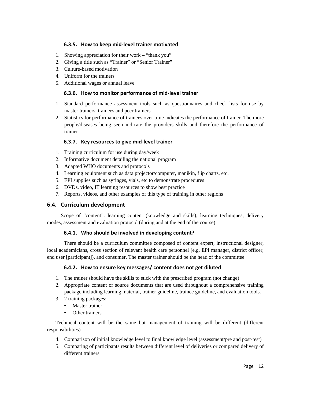#### **6.3.5. How to keep mid‐level trainer motivated**

- 1. Showing appreciation for their work "thank you"
- 2. Giving a title such as "Trainer" or "Senior Trainer"
- 3. Culture-based motivation
- 4. Uniform for the trainers
- 5. Additional wages or annual leave

#### **6.3.6. How to monitor performance of mid‐level trainer**

- 1. Standard performance assessment tools such as questionnaires and check lists for use by master trainers, trainees and peer trainers
- 2. Statistics for performance of trainees over time indicates the performance of trainer. The more people/diseases being seen indicate the providers skills and therefore the performance of trainer

#### **6.3.7. Key resources to give mid‐level trainer**

- 1. Training curriculum for use during day/week
- 2. Informative document detailing the national program
- 3. Adapted WHO documents and protocols
- 4. Learning equipment such as data projector/computer, manikin, flip charts, etc.
- 5. EPI supplies such as syringes, vials, etc to demonstrate procedures
- 6. DVDs, video, IT learning resources to show best practice
- 7. Reports, videos, and other examples of this type of training in other regions

### **6.4. Curriculum development**

Scope of "content": learning content (knowledge and skills), learning techniques, delivery modes, assessment and evaluation protocol (during and at the end of the course)

#### **6.4.1. Who should be involved in developing content?**

There should be a curriculum committee composed of content expert, instructional designer, local academicians, cross section of relevant health care personnel (e.g. EPI manager, district officer, end user [participant]), and consumer. The master trainer should be the head of the committee

### **6.4.2. How to ensure key messages/ content does not get diluted**

- 1. The trainer should have the skills to stick with the prescribed program (not change)
- 2. Appropriate content or source documents that are used throughout a comprehensive training package including learning material, trainer guideline, trainee guideline, and evaluation tools.
- 3. 2 training packages;
	- **Master trainer**
	- **•** Other trainers

Technical content will be the same but management of training will be different (different responsibilities)

- 4. Comparison of initial knowledge level to final knowledge level (assessment/pre and post-test)
- 5. Comparing of participants results between different level of deliveries or compared delivery of different trainers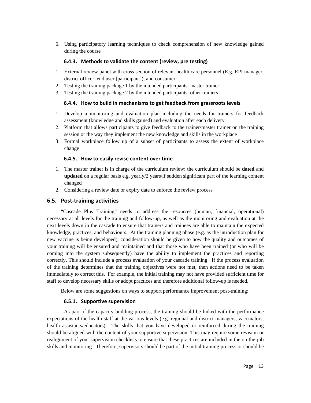6. Using participatory learning techniques to check comprehension of new knowledge gained during the course

#### **6.4.3. Methods to validate the content (review, pre testing)**

- 1. External review panel with cross section of relevant health care personnel (E.g. EPI manager, district officer, end user [participant]), and consumer
- 2. Testing the training package 1 by the intended participants: master trainer
- 3. Testing the training package 2 by the intended participants: other trainers

#### **6.4.4. How to build in mechanisms to get feedback from grassroots levels**

- 1. Develop a monitoring and evaluation plan including the needs for trainers for feedback assessment (knowledge and skills gained) and evaluation after each delivery
- 2. Platform that allows participants to give feedback to the trainer/master trainer on the training session or the way they implement the new knowledge and skills in the workplace
- 3. Formal workplace follow up of a subset of participants to assess the extent of workplace change

#### **6.4.5. How to easily revise content over time**

- 1. The master trainer is in charge of the curriculum review: the curriculum should be **dated** and **updated** on a regular basis e.g. yearly/2 years/if sudden significant part of the learning content changed
- 2. Considering a review date or expiry date to enforce the review process

### **6.5. Post‐training activities**

"Cascade Plus Training" needs to address the resources (human, financial, operational) necessary at all levels for the training and follow-up, as well as the monitoring and evaluation at the next levels down in the cascade to ensure that trainers and trainees are able to maintain the expected knowledge, practices, and behaviours. At the training planning phase (e.g. as the introduction plan for new vaccine is being developed), consideration should be given to how the quality and outcomes of your training will be ensured and maintained and that those who have been trained (or who will be coming into the system subsequently) have the ability to implement the practices and reporting correctly. This should include a process evaluation of your cascade training. If the process evaluation of the training determines that the training objectives were not met, then actions need to be taken immediately to correct this. For example, the initial training may not have provided sufficient time for staff to develop necessary skills or adopt practices and therefore additional follow-up is needed.

Below are some suggestions on ways to support performance improvement post-training:

#### **6.5.1. Supportive supervision**

As part of the capacity building process, the training should be linked with the performance expectations of the health staff at the various levels (e.g. regional and district managers, vaccinators, health assistants/educators). The skills that you have developed or reinforced during the training should be aligned with the content of your supportive supervision. This may require some revision or realignment of your supervision checklists to ensure that these practices are included in the on-the-job skills and monitoring. Therefore, supervisors should be part of the initial training process or should be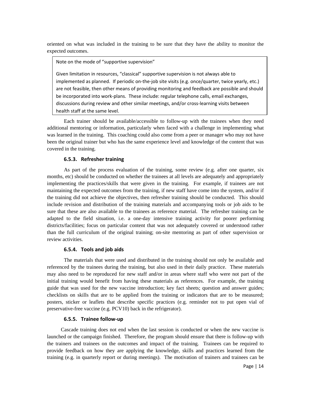oriented on what was included in the training to be sure that they have the ability to monitor the expected outcomes.

Note on the mode of "supportive supervision"

health staff at the same level. Given limitation in resources, "classical" supportive supervision is not always able to implemented as planned. If periodic on-the-job site visits (e.g. once/quarter, twice yearly, etc.) are not feasible, then other means of providing monitoring and feedback are possible and should be incorporated into work-plans. These include: regular telephone calls, email exchanges, discussions during review and other similar meetings, and/or cross-learning visits between

Each trainer should be available/accessible to follow-up with the trainees when they need additional mentoring or information, particularly when faced with a challenge in implementing what was learned in the training. This coaching could also come from a peer or manager who may not have been the original trainer but who has the same experience level and knowledge of the content that was covered in the training.

#### **6.5.3. Refresher training**

As part of the process evaluation of the training, some review (e.g. after one quarter, six months, etc) should be conducted on whether the trainees at all levels are adequately and appropriately implementing the practices/skills that were given in the training. For example, if trainees are not maintaining the expected outcomes from the training, if new staff have come into the system, and/or if the training did not achieve the objectives, then refresher training should be conducted. This should include revision and distribution of the training materials and accompanying tools or job aids to be sure that these are also available to the trainees as reference material. The refresher training can be adapted to the field situation, i.e. a one-day intensive training activity for poorer performing districts/facilities; focus on particular content that was not adequately covered or understood rather than the full curriculum of the original training; on-site mentoring as part of other supervision or review activities.

#### **6.5.4. Tools and job aids**

The materials that were used and distributed in the training should not only be available and referenced by the trainees during the training, but also used in their daily practice. These materials may also need to be reproduced for new staff and/or in areas where staff who were not part of the initial training would benefit from having these materials as references. For example, the training guide that was used for the new vaccine introduction; key fact sheets; question and answer guides; checklists on skills that are to be applied from the training or indicators that are to be measured; posters, sticker or leaflets that describe specific practices (e.g. reminder not to put open vial of preservative-free vaccine (e.g. PCV10) back in the refrigerator).

#### **6.5.5. Trainee follow‐up**

Cascade training does not end when the last session is conducted or when the new vaccine is launched or the campaign finished. Therefore, the program should ensure that there is follow-up with the trainers and trainees on the outcomes and impact of the training. Trainees can be required to provide feedback on how they are applying the knowledge, skills and practices learned from the training (e.g. in quarterly report or during meetings). The motivation of trainers and trainees can be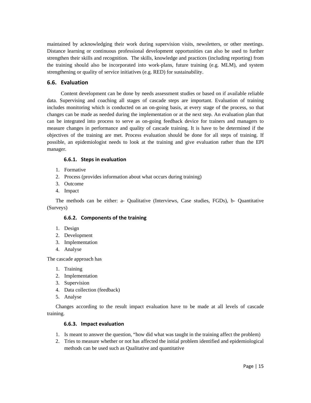maintained by acknowledging their work during supervision visits, newsletters, or other meetings. Distance learning or continuous professional development opportunities can also be used to further strengthen their skills and recognition. The skills, knowledge and practices (including reporting) from the training should also be incorporated into work-plans, future training (e.g. MLM), and system strengthening or quality of service initiatives (e.g. RED) for sustainability.

## **6.6. Evaluation**

Content development can be done by needs assessment studies or based on if available reliable data. Supervising and coaching all stages of cascade steps are important. Evaluation of training includes monitoring which is conducted on an on-going basis, at every stage of the process, so that changes can be made as needed during the implementation or at the next step. An evaluation plan that can be integrated into process to serve as on-going feedback device for trainers and managers to measure changes in performance and quality of cascade training. It is have to be determined if the objectives of the training are met. Process evaluation should be done for all steps of training. If possible, an epidemiologist needs to look at the training and give evaluation rather than the EPI manager.

#### **6.6.1. Steps in evaluation**

- 1. Formative
- 2. Process (provides information about what occurs during training)
- 3. Outcome
- 4. Impact

The methods can be either: a- Qualitative (Interviews, Case studies, FGDs), b- Quantitative (Surveys)

### **6.6.2. Components of the training**

- 1. Design
- 2. Development
- 3. Implementation
- 4. Analyse

The cascade approach has

- 1. Training
- 2. Implementation
- 3. Supervision
- 4. Data collection (feedback)
- 5. Analyse

Changes according to the result impact evaluation have to be made at all levels of cascade training.

#### **6.6.3. Impact evaluation**

- 1. Is meant to answer the question, "how did what was taught in the training affect the problem)
- 2. Tries to measure whether or not has affected the initial problem identified and epidemiological methods can be used such as Qualitative and quantitative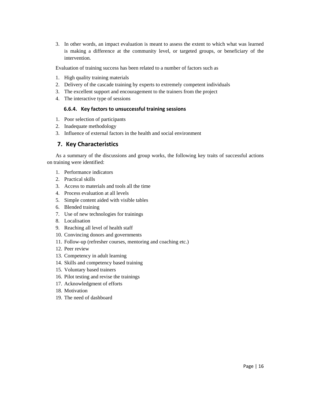3. In other words, an impact evaluation is meant to assess the extent to which what was learned is making a difference at the community level, or targeted groups, or beneficiary of the intervention.

Evaluation of training success has been related to a number of factors such as

- 1. High quality training materials
- 2. Delivery of the cascade training by experts to extremely competent individuals
- 3. The excellent support and encouragement to the trainers from the project
- 4. The interactive type of sessions

#### **6.6.4. Key factors to unsuccessful training sessions**

- 1. Poor selection of participants
- 2. Inadequate methodology
- 3. Influence of external factors in the health and social environment

### **7. Key Characteristics**

As a summary of the discussions and group works, the following key traits of successful actions on training were identified:

- 1. Performance indicators
- 2. Practical skills
- 3. Access to materials and tools all the time
- 4. Process evaluation at all levels
- 5. Simple content aided with visible tables
- 6. Blended training
- 7. Use of new technologies for trainings
- 8. Localisation
- 9. Reaching all level of health staff
- 10. Convincing donors and governments
- 11. Follow-up (refresher courses, mentoring and coaching etc.)
- 12. Peer review
- 13. Competency in adult learning
- 14. Skills and competency based training
- 15. Voluntary based trainers
- 16. Pilot testing and revise the trainings
- 17. Acknowledgment of efforts
- 18. Motivation
- 19. The need of dashboard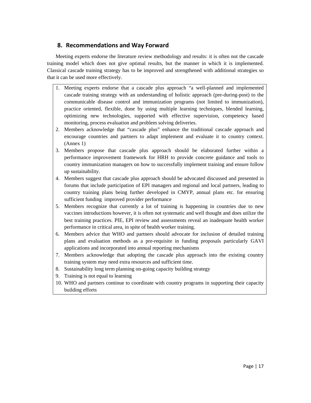## **8. Recommendations and Way Forward**

Meeting experts endorse the literature review methodology and results: it is often not the cascade training model which does not give optimal results, but the manner in which it is implemented. Classical cascade training strategy has to be improved and strengthened with additional strategies so that it can be used more effectively.

- 1. Meeting experts endorse that a cascade plus approach "a well-planned and implemented cascade training strategy with an understanding of holistic approach (pre-during-post) to the communicable disease control and immunization programs (not limited to immunization), practice oriented, flexible, done by using multiple learning techniques, blended learning, optimizing new technologies, supported with effective supervision, competency based monitoring, process evaluation and problem solving deliveries.
- 2. Members acknowledge that "cascade plus" enhance the traditional cascade approach and encourage countries and partners to adapt implement and evaluate it to country context. (Annex 1)
- 3. Members propose that cascade plus approach should be elaborated further within a performance improvement framework for HRH to provide concrete guidance and tools to country immunization managers on how to successfully implement training and ensure follow up sustainability.
- 4. Members suggest that cascade plus approach should be advocated discussed and presented in forums that include participation of EPI managers and regional and local partners, leading to country training plans being further developed in CMYP, annual plans etc. for ensuring sufficient funding improved provider performance
- 5. Members recognize that currently a lot of training is happening in countries due to new vaccines introductions however, it is often not systematic and well thought and does utilize the best training practices. PIE, EPI review and assessments reveal an inadequate health worker performance in critical area, in spite of health worker training.
- 6. Members advice that WHO and partners should advocate for inclusion of detailed training plans and evaluation methods as a pre-requisite in funding proposals particularly GAVI applications and incorporated into annual reporting mechanisms
- 7. Members acknowledge that adopting the cascade plus approach into the existing country training system may need extra resources and sufficient time.
- 8. Sustainability long term planning on-going capacity building strategy
- 9. Training is not equal to learning
- 10. WHO and partners continue to coordinate with country programs in supporting their capacity building efforts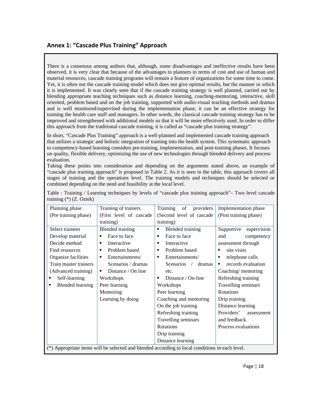## **Annex 1: "Cascade Plus Training" Approach**

There is a consensus among authors that, although, some disadvantages and ineffective results have been observed, it is very clear that because of the advantages to planners in terms of cost and use of human and material resources, cascade training programs will remain a feature of organizations for some time to come. Yet, it is often not the cascade training model which does not give optimal results, but the manner in which it is implemented. It was clearly seen that if the cascade training strategy is well planned, carried out by blending appropriate teaching techniques such as distance learning, coaching-mentoring, interactive, skill oriented, problem based and on the job training, supported with audio-visual teaching methods and dramas and is well monitored/supervised during the implementation phase, it can be an effective strategy for training the health care staff and managers. In other words, the classical cascade training strategy has to be improved and strengthened with additional models so that it will be more effectively used. In order to differ this approach from the traditional cascade training, it is called as "cascade plus training strategy".

In short, "Cascade Plus Training" approach is a well-planned and implemented cascade training approach that utilizes a strategic and holistic integration of training into the health system. This systematic approach to competency-based learning considers pre-training, implementation, and post-training phases. It focuses on quality, flexible delivery, optimizing the use of new technologies through blended delivery and process evaluation.

Taking these points into consideration and depending on the arguments stated above, an example of "cascade plus training approach" is proposed in Table 2. As it is seen in the table, this approach covers all stages of training and the operations level. The training models and techniques should be selected or combined depending on the need and feasibility at the local level.

| Planning phase                                                                                  | Training of trainers                 | Training<br>of<br>providers               | Implementation phase      |
|-------------------------------------------------------------------------------------------------|--------------------------------------|-------------------------------------------|---------------------------|
| (Pre training phase)                                                                            | (First level of cascade)             | (Second level of cascade)                 | (Post training phase)     |
|                                                                                                 | training)                            | training)                                 |                           |
| Select trainees                                                                                 | <b>Blended</b> training              | <b>Blended</b> training<br>$\blacksquare$ | supervision<br>Supportive |
| Develop material                                                                                | Face to face<br>$\blacksquare$       | Face to face<br>$\blacksquare$            | and<br>competency         |
| Decide method                                                                                   | Interactive<br>$\blacksquare$        | Interactive<br>$\blacksquare$             | assessment through        |
| Find resources                                                                                  | Problem based<br>$\blacksquare$      | Problem based<br>$\blacksquare$           | site visits               |
| Organize facilities                                                                             | Entertainments/<br>$\blacksquare$    | Entertainments/<br>$\blacksquare$         | telephone calls           |
| Train master trainers                                                                           | Scenarios / dramas                   | <b>Scenarios</b><br>dramas                | records evaluation        |
| (Advanced training)                                                                             | Distance / On line<br>$\blacksquare$ | etc.                                      | Coaching/mentoring        |
| Self-learning                                                                                   | Workshops                            | Distance / On-line<br>$\blacksquare$      | Refreshing training       |
| <b>Blended learning</b><br>$\blacksquare$                                                       | Peer learning                        | Workshops                                 | Travelling seminars       |
|                                                                                                 | Mentoring                            | Peer learning                             | <b>Rotations</b>          |
|                                                                                                 | Learning by doing                    | Coaching and mentoring                    | Drip training             |
|                                                                                                 |                                      | On the job training                       | Distance learning         |
|                                                                                                 |                                      | Refreshing training                       | Providers'<br>assessment  |
|                                                                                                 |                                      | Travelling seminars                       | and feedback              |
|                                                                                                 |                                      | Rotations                                 | Process evaluations       |
|                                                                                                 |                                      | Drip training                             |                           |
|                                                                                                 |                                      | Distance learning                         |                           |
| (*) Appropriate items will be selected and blended according to local conditions in each level. |                                      |                                           |                           |

Table : Training / Learning techniques by levels of "cascade plus training approach"– Two level cascade training (\*) (Z. Oztek)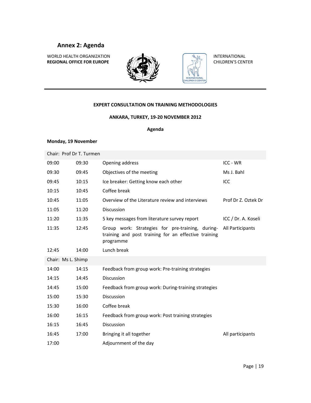## **Annex 2: Agenda**

WORLD HEALTH ORGANIZATION **REGIONAL OFFICE FOR EUROPE**





INTERNATIONAL CHILDREN'S CENTER

#### **EXPERT CONSULTATION ON TRAINING METHODOLOGIES**

#### **ANKARA, TURKEY, 19‐20 NOVEMBER 2012**

#### **Agenda**

#### **Monday, 19 November**

|                    | Chair: Prof Dr T. Turmen |                                                                                                                       |                     |
|--------------------|--------------------------|-----------------------------------------------------------------------------------------------------------------------|---------------------|
| 09:00              | 09:30                    | Opening address                                                                                                       | ICC - WR            |
| 09:30              | 09:45                    | Objectives of the meeting                                                                                             | Ms J. Bahl          |
| 09:45              | 10:15                    | Ice breaker: Getting know each other                                                                                  | ICC                 |
| 10:15              | 10:45                    | Coffee break                                                                                                          |                     |
| 10:45              | 11:05                    | Overview of the Literature review and interviews                                                                      | Prof Dr Z. Oztek Dr |
| 11:05              | 11:20                    | <b>Discussion</b>                                                                                                     |                     |
| 11:20              | 11:35                    | 5 key messages from literature survey report                                                                          | ICC / Dr. A. Koseli |
| 11:35              | 12:45                    | Group work: Strategies for pre-training, during-<br>training and post training for an effective training<br>programme | All Participants    |
| 12:45              | 14:00                    | Lunch break                                                                                                           |                     |
| Chair: Ms L. Shimp |                          |                                                                                                                       |                     |
| 14:00              | 14:15                    | Feedback from group work: Pre-training strategies                                                                     |                     |
| 14:15              | 14:45                    | <b>Discussion</b>                                                                                                     |                     |
| 14:45              | 15:00                    | Feedback from group work: During-training strategies                                                                  |                     |
| 15:00              | 15:30                    | <b>Discussion</b>                                                                                                     |                     |
| 15:30              | 16:00                    | Coffee break                                                                                                          |                     |
| 16:00              | 16:15                    | Feedback from group work: Post training strategies                                                                    |                     |
| 16:15              | 16:45                    | <b>Discussion</b>                                                                                                     |                     |
| 16:45              | 17:00                    | Bringing it all together                                                                                              | All participants    |
| 17:00              |                          | Adjournment of the day                                                                                                |                     |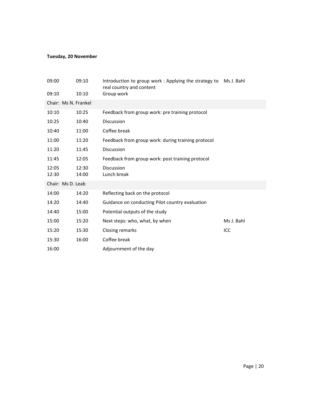## **Tuesday, 20 November**

| 09:00                | 09:10 | Introduction to group work: Applying the strategy to<br>real country and content | Ms J. Bahl |
|----------------------|-------|----------------------------------------------------------------------------------|------------|
| 09:10                | 10:10 | Group work                                                                       |            |
| Chair: Ms N. Frankel |       |                                                                                  |            |
| 10:10                | 10:25 | Feedback from group work: pre training protocol                                  |            |
| 10:25                | 10:40 | <b>Discussion</b>                                                                |            |
| 10:40                | 11:00 | Coffee break                                                                     |            |
| 11:00                | 11:20 | Feedback from group work: during training protocol                               |            |
| 11:20                | 11:45 | <b>Discussion</b>                                                                |            |
| 11:45                | 12:05 | Feedback from group work: post training protocol                                 |            |
| 12:05                | 12:30 | <b>Discussion</b>                                                                |            |
| 12:30                | 14:00 | Lunch break                                                                      |            |
| Chair: Ms D. Leab    |       |                                                                                  |            |
| 14:00                | 14:20 | Reflecting back on the protocol                                                  |            |
| 14:20                | 14:40 | Guidance on conducting Pilot country evaluation                                  |            |
| 14:40                | 15:00 | Potential outputs of the study                                                   |            |
| 15:00                | 15:20 | Next steps: who, what, by when                                                   | Ms J. Bahl |
| 15:20                | 15:30 | Closing remarks                                                                  | ICC        |
| 15:30                | 16:00 | Coffee break                                                                     |            |
| 16:00                |       | Adjournment of the day                                                           |            |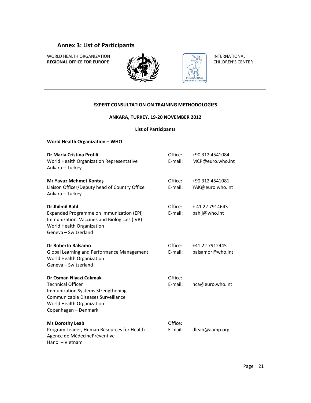# **Annex 3: List of Participants**

WORLD HEALTH ORGANIZATION **REGIONAL OFFICE FOR EUROPE**





CHILDREN'S CENTER

INTERNATIONAL CHILDREN'S CENTER

#### **EXPERT CONSULTATION ON TRAINING METHODOLOGIES**

#### **ANKARA, TURKEY, 19‐20 NOVEMBER 2012**

#### **List of Participants**

| <b>World Health Organization - WHO</b>                                                                                                                                              |                    |                                     |
|-------------------------------------------------------------------------------------------------------------------------------------------------------------------------------------|--------------------|-------------------------------------|
| Dr Maria Cristina Profili<br>World Health Organization Representative<br>Ankara - Turkey                                                                                            | Office:<br>E-mail: | +90 312 4541084<br>MCP@euro.who.int |
| Mr Yavuz Mehmet Kontaş<br>Liaison Officer/Deputy head of Country Office<br>Ankara - Turkey                                                                                          | Office:<br>E-mail: | +90 312 4541081<br>YAK@euro.who.int |
| Dr Jhilmil Bahl<br>Expanded Programme on Immunization (EPI)<br>Immunization, Vaccines and Biologicals (IVB)<br>World Health Organization<br>Geneva - Switzerland                    | Office:<br>E-mail: | +41 22 7914643<br>bahlj@who.int     |
| Dr Roberto Balsamo<br>Global Learning and Performance Management<br>World Health Organization<br>Geneva - Switzerland                                                               | Office:<br>E-mail: | +41 22 7912445<br>balsamor@who.int  |
| Dr Osman Niyazi Cakmak<br><b>Technical Officer</b><br>Immunization Systems Strengthening<br>Communicable Diseases Surveillance<br>World Health Organization<br>Copenhagen - Denmark | Office:<br>E-mail: | nca@euro.who.int                    |
| <b>Ms Dorothy Leab</b><br>Program Leader, Human Resources for Health<br>Agence de MédecinePréventive<br>Hanoi - Vietnam                                                             | Office:<br>E-mail: | dleab@aamp.org                      |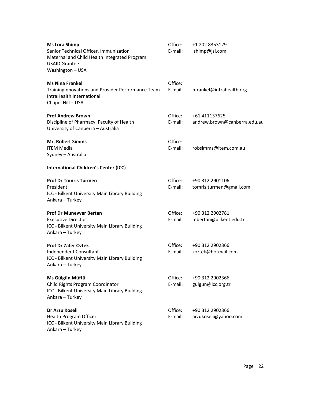| <b>Ms Lora Shimp</b><br>Senior Technical Officer, Immunization<br>Maternal and Child Health Integrated Program<br><b>USAID Grantee</b><br>Washington - USA | Office:<br>E-mail: | +1 202 8353129<br>lshimp@jsi.com              |
|------------------------------------------------------------------------------------------------------------------------------------------------------------|--------------------|-----------------------------------------------|
| <b>Ms Nina Frankel</b><br>TrainingInnovations and Provider Performance Team<br>IntraHealth International<br>Chapel Hill - USA                              | Office:<br>E-mail: | nfrankel@intrahealth.org                      |
| <b>Prof Andrew Brown</b><br>Discipline of Pharmacy, Faculty of Health<br>University of Canberra - Australia                                                | Office:<br>E-mail: | +61 411137625<br>andrew.brown@canberra.edu.au |
| <b>Mr. Robert Simms</b><br><b>ITEM Media</b><br>Sydney - Australia                                                                                         | Office:<br>E-mail: | robsimms@item.com.au                          |
| <b>International Children's Center (ICC)</b>                                                                                                               |                    |                                               |
| <b>Prof Dr Tomris Turmen</b><br>President<br>ICC - Bilkent University Main Library Building<br>Ankara - Turkey                                             | Office:<br>E-mail: | +90 312 2901106<br>tomris.turmen@gmail.com    |
| <b>Prof Dr Munevver Bertan</b><br><b>Executive Director</b><br>ICC - Bilkent University Main Library Building<br>Ankara - Turkey                           | Office:<br>E-mail: | +90 312 2902781<br>mbertan@bilkent.edu.tr     |
| <b>Prof Dr Zafer Oztek</b><br>Independent Consultant<br>ICC - Bilkent University Main Library Building<br>Ankara - Turkey                                  | Office:<br>E-mail: | +90 312 2902366<br>zoztek@hotmail.com         |
| Ms Gülgün Müftü<br>Child Rights Program Coordinator<br>ICC - Bilkent University Main Library Building<br>Ankara - Turkey                                   | Office:<br>E-mail: | +90 312 2902366<br>gulgun@icc.org.tr          |
| Dr Arzu Koseli<br>Health Program Officer<br>ICC - Bilkent University Main Library Building<br>Ankara - Turkey                                              | Office:<br>F-mail: | +90 312 2902366<br>arzukoseli@yahoo.com       |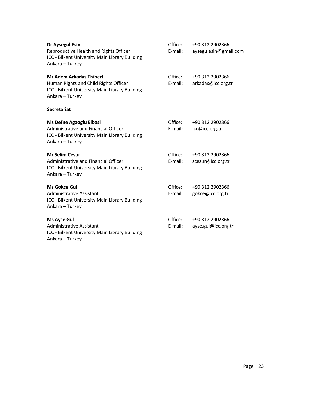| Dr Aysegul Esin<br>Reproductive Health and Rights Officer<br>ICC - Bilkent University Main Library Building<br>Ankara - Turkey               | Office:<br>E-mail: | +90 312 2902366<br>aysegulesin@gmail.com |
|----------------------------------------------------------------------------------------------------------------------------------------------|--------------------|------------------------------------------|
| <b>Mr Adem Arkadas Thibert</b><br>Human Rights and Child Rights Officer<br>ICC - Bilkent University Main Library Building<br>Ankara - Turkey | Office:<br>E-mail: | +90 312 2902366<br>arkadas@icc.org.tr    |
| <b>Secretariat</b>                                                                                                                           |                    |                                          |
| <b>Ms Defne Agaoglu Elbasi</b><br>Administrative and Financial Officer<br>ICC - Bilkent University Main Library Building<br>Ankara - Turkey  | Office:<br>E-mail: | +90 312 2902366<br>icc@icc.org.tr        |
| <b>Mr Selim Cesur</b><br>Administrative and Financial Officer<br>ICC - Bilkent University Main Library Building<br>Ankara - Turkey           | Office:<br>E-mail: | +90 312 2902366<br>scesur@icc.org.tr     |
| <b>Ms Gokce Gul</b><br>Administrative Assistant<br>ICC - Bilkent University Main Library Building<br>Ankara - Turkey                         | Office:<br>E-mail: | +90 312 2902366<br>gokce@icc.org.tr      |
| <b>Ms Ayse Gul</b><br>Administrative Assistant<br>ICC - Bilkent University Main Library Building<br>Ankara - Turkey                          | Office:<br>E-mail: | +90 312 2902366<br>ayse.gul@icc.org.tr   |